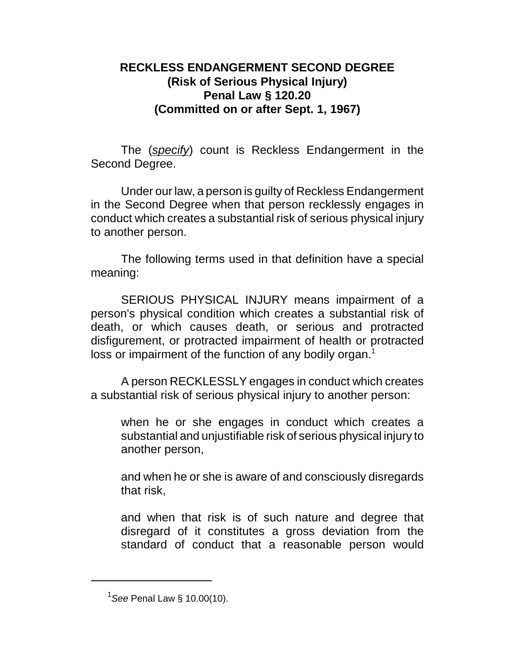## **RECKLESS ENDANGERMENT SECOND DEGREE (Risk of Serious Physical Injury) Penal Law § 120.20 (Committed on or after Sept. 1, 1967)**

The (*specify*) count is Reckless Endangerment in the Second Degree.

Under our law, a person is guilty of Reckless Endangerment in the Second Degree when that person recklessly engages in conduct which creates a substantial risk of serious physical injury to another person.

The following terms used in that definition have a special meaning:

SERIOUS PHYSICAL INJURY means impairment of a person's physical condition which creates a substantial risk of death, or which causes death, or serious and protracted disfigurement, or protracted impairment of health or protracted loss or impairment of the function of any bodily organ.<sup>1</sup>

A person RECKLESSLY engages in conduct which creates a substantial risk of serious physical injury to another person:

when he or she engages in conduct which creates a substantial and unjustifiable risk of serious physical injury to another person,

and when he or she is aware of and consciously disregards that risk,

and when that risk is of such nature and degree that disregard of it constitutes a gross deviation from the standard of conduct that a reasonable person would

<sup>1</sup> *See* Penal Law § 10.00(10).